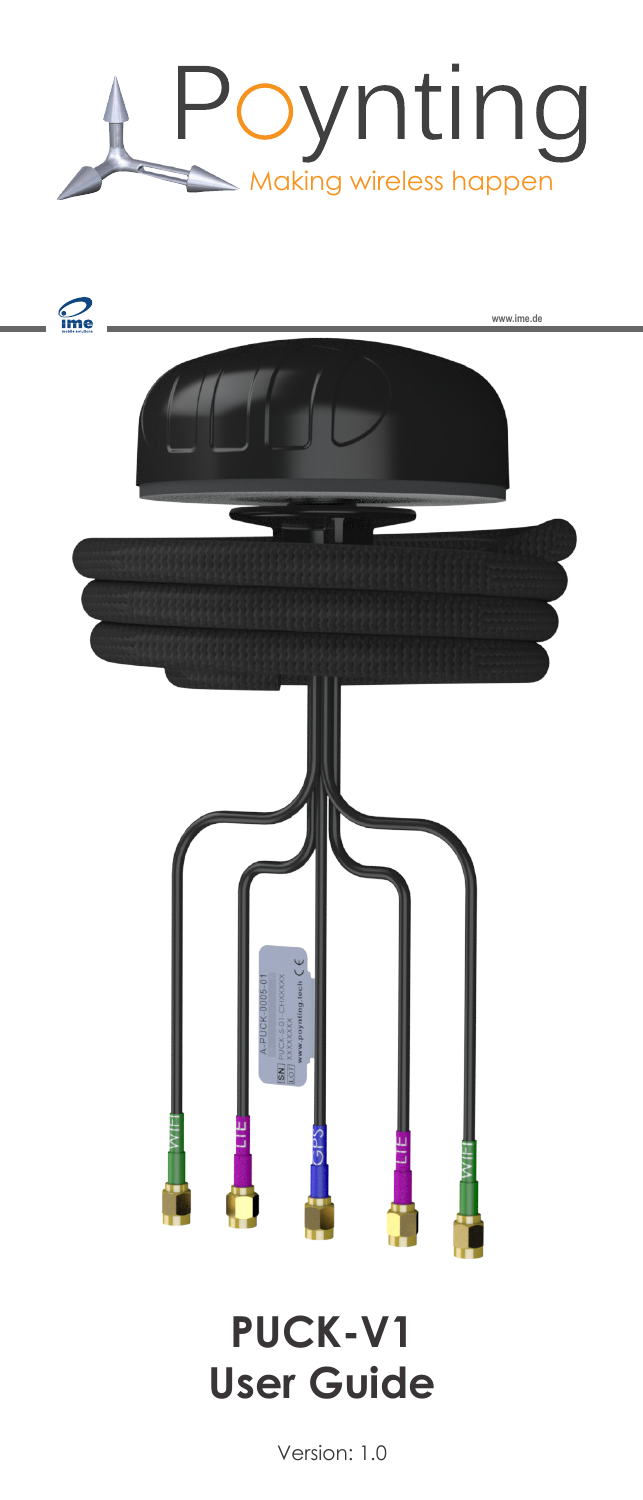



# **PUCK-V1 User Guide**

Version: 1.0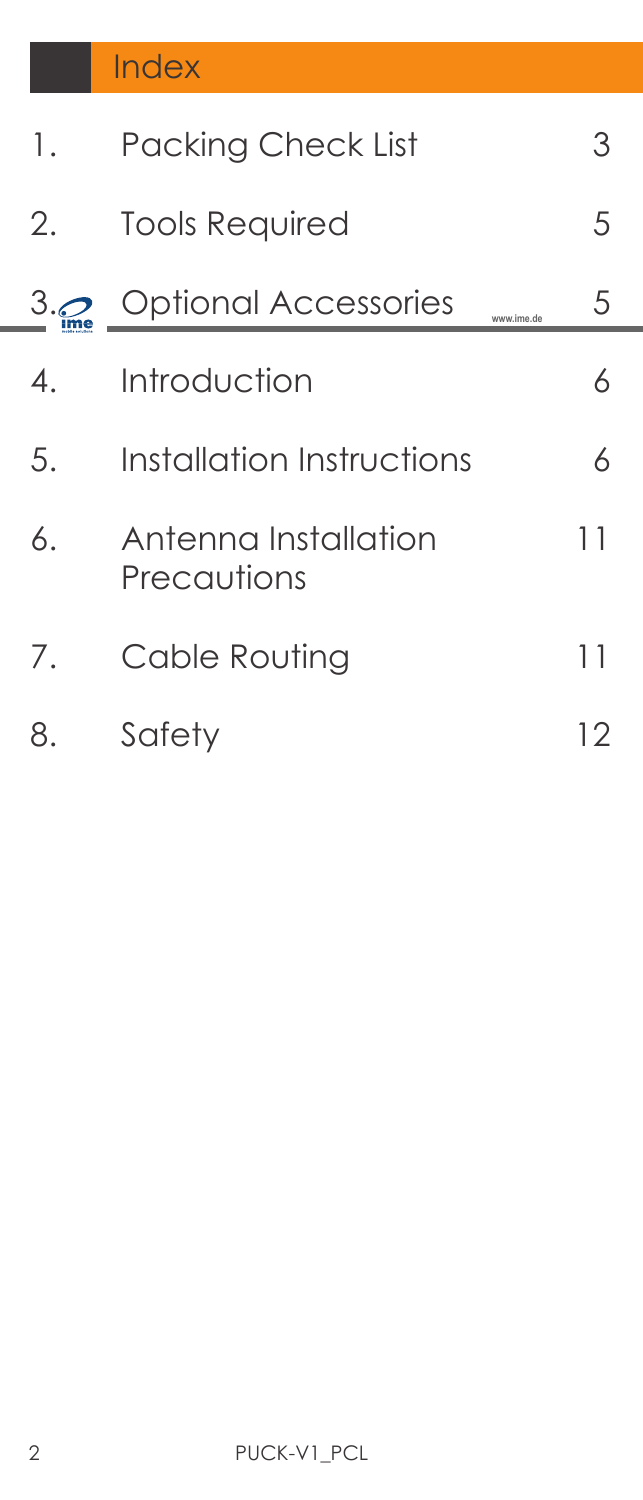|    | Index                                 |    |
|----|---------------------------------------|----|
| 1. | <b>Packing Check List</b>             | 3  |
| 2. | <b>Tools Required</b>                 | 5  |
|    | 3. Optional Accessories<br>www.ime.de | 5  |
| 4. | Introduction                          | 6  |
| 5. | Installation Instructions             | 6  |
| 6. | Antenna Installation<br>Precautions   | 11 |
| 7. | Cable Routing                         | 11 |
| 8. | Safety                                | 12 |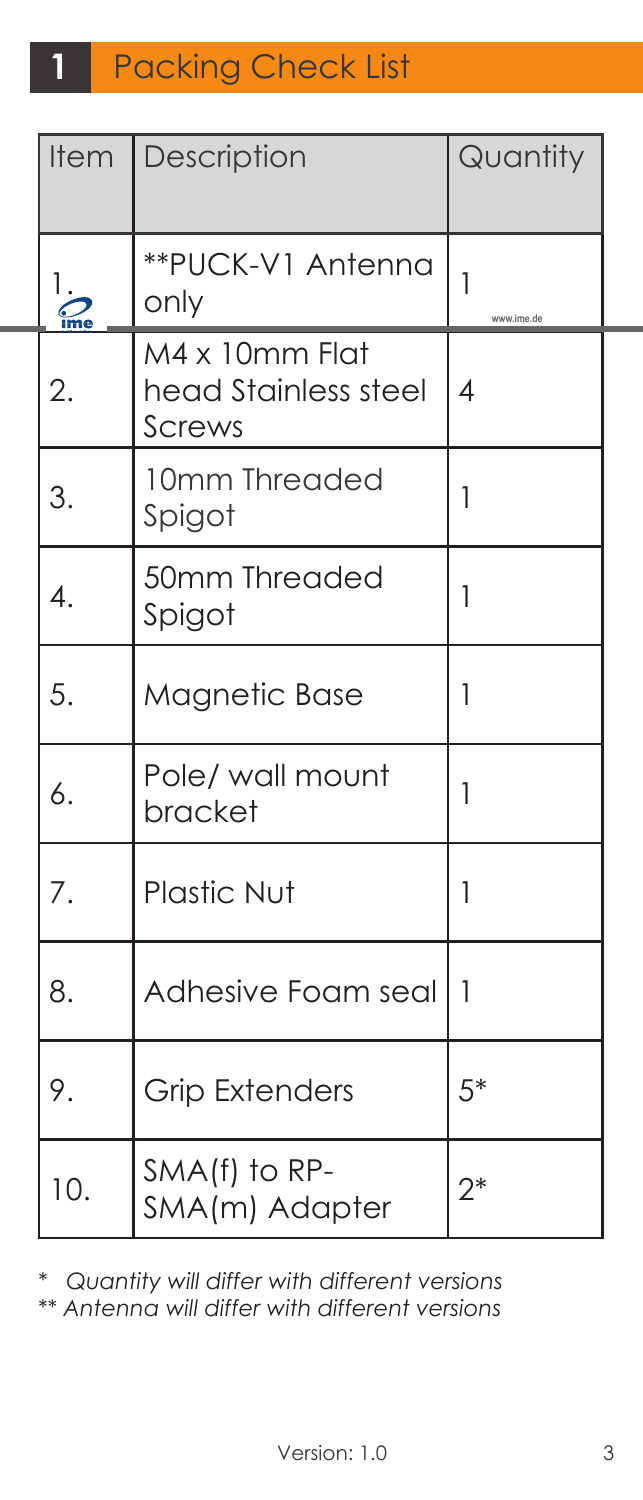#### **Packing Check List 1**

| <b>Item</b>   | Description                                              | Quantity                              |  |
|---------------|----------------------------------------------------------|---------------------------------------|--|
| $\frac{1}{2}$ | **PUCK-V1 Antenna<br>only                                | $\overline{\mathbf{1}}$<br>www.ime.de |  |
| 2.            | $M4 \times 10$ mm Flat<br>head Stainless steel<br>Screws | $\overline{4}$                        |  |
| 3.            | 10mm Threaded<br>Spigot                                  | 1                                     |  |
| 4.            | 50mm Threaded<br>Spigot                                  | 1                                     |  |
| 5.            | Magnetic Base                                            | 1                                     |  |
| 6.            | Pole/ wall mount<br>bracket                              | 1                                     |  |
| 7.            | Plastic Nut                                              | 1                                     |  |
| 8.            | Adhesive Foam seal                                       | 1                                     |  |
| 9.            | <b>Grip Extenders</b>                                    | $5*$                                  |  |
| 10.           | $SMA(f)$ to RP-<br>SMA(m) Adapter                        | $2^*$                                 |  |

*\* Quantity will differ with different versions*

*\*\* Antenna will differ with different versions*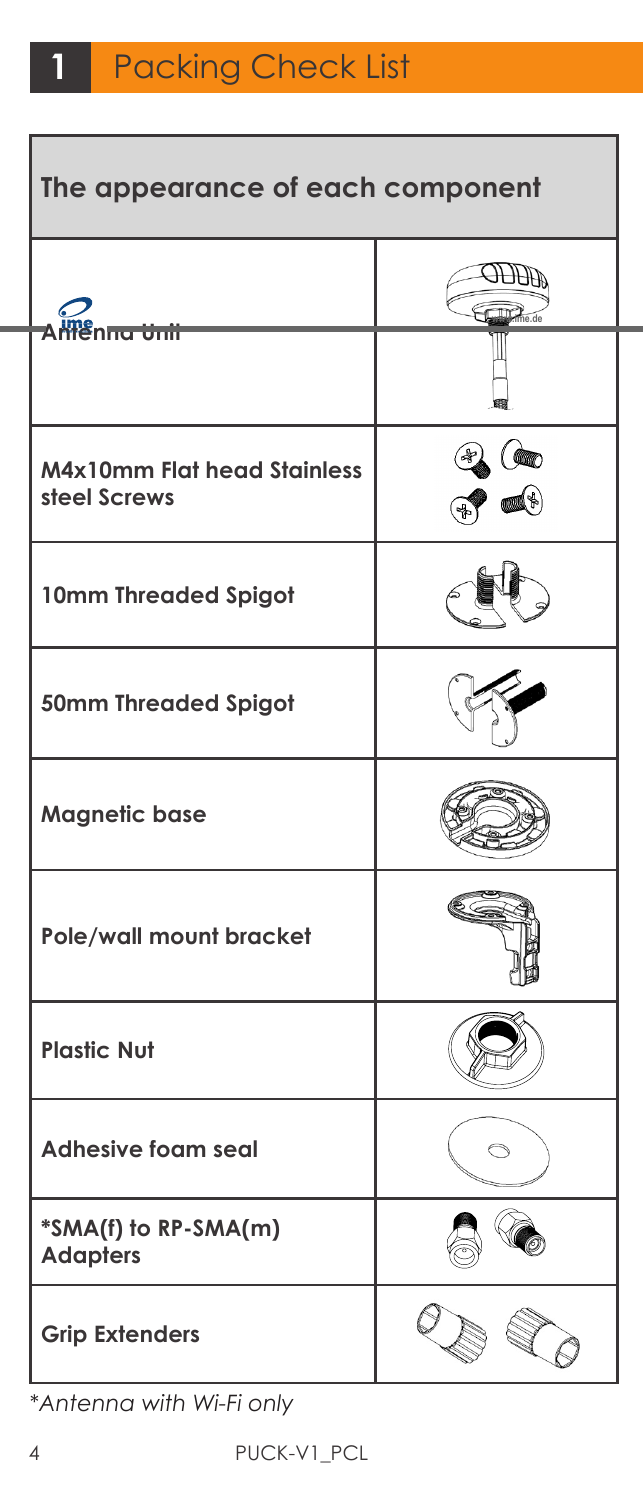٦

| The appearance of each component                   |                                   |  |  |
|----------------------------------------------------|-----------------------------------|--|--|
| is<br><sup>is</sup> nπ <del>α</del>                | AHA<br>$\bigoplus_{\text{me.de}}$ |  |  |
|                                                    |                                   |  |  |
| <b>M4x10mm Flat head Stainless</b><br>steel Screws | (N<br>( Qu                        |  |  |
| 10mm Threaded Spigot                               |                                   |  |  |
| <b>50mm Threaded Spigot</b>                        |                                   |  |  |
| <b>Magnetic base</b>                               |                                   |  |  |
| Pole/wall mount bracket                            |                                   |  |  |
| <b>Plastic Nut</b>                                 |                                   |  |  |
| <b>Adhesive foam seal</b>                          |                                   |  |  |
| *SMA(f) to RP-SMA(m)<br><b>Adapters</b>            |                                   |  |  |
| <b>Grip Extenders</b>                              |                                   |  |  |

*<sup>\*</sup>Antenna with Wi-Fi only*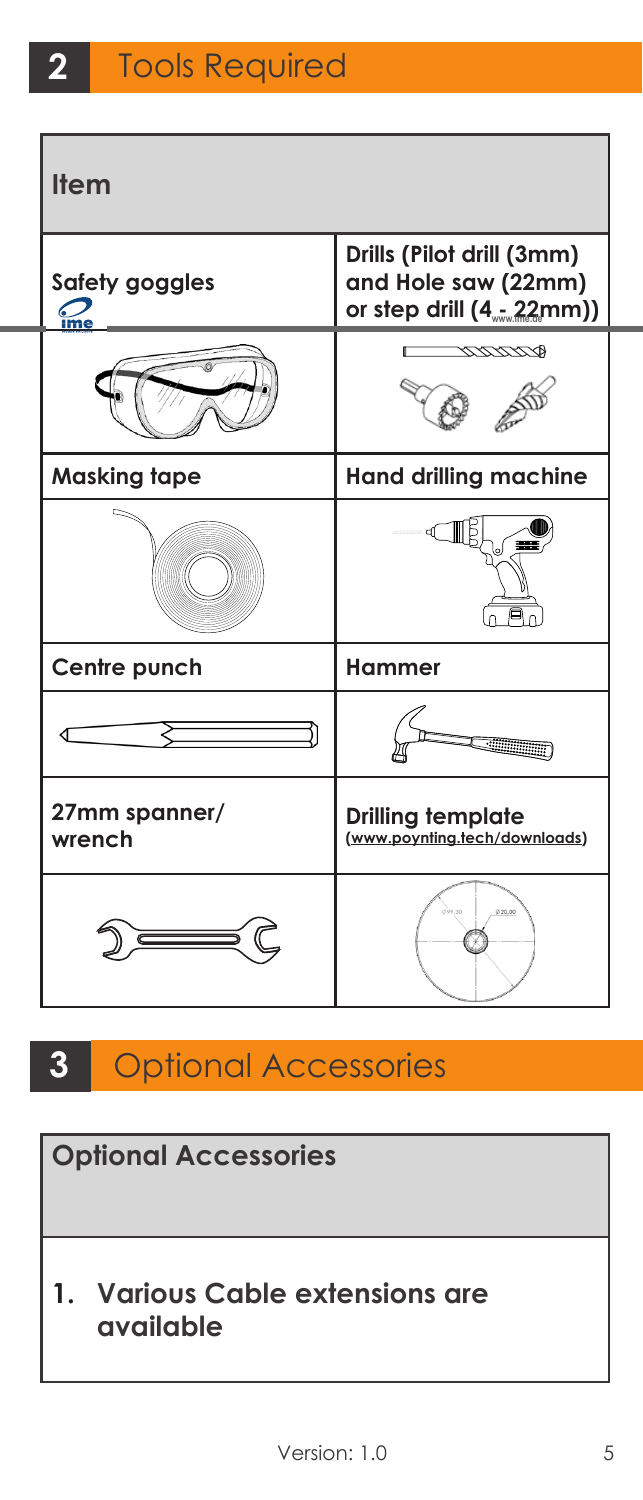| <b>Item</b>                |                                                                              |  |  |  |
|----------------------------|------------------------------------------------------------------------------|--|--|--|
| Safety goggles<br>$\Omega$ | Drills (Pilot drill (3mm)<br>and Hole saw (22mm)<br>or step drill (4  22mm)) |  |  |  |
|                            | exxxxx                                                                       |  |  |  |
| <b>Masking tape</b>        | <b>Hand drilling machine</b>                                                 |  |  |  |
|                            | 戶                                                                            |  |  |  |
| Centre punch               | Hammer                                                                       |  |  |  |
| ⊲                          |                                                                              |  |  |  |
| 27mm spanner/<br>wrench    | <b>Drilling template</b><br>(www.poynting.tech/downloads)                    |  |  |  |
|                            | 020.00                                                                       |  |  |  |

**3** Optional Accessories

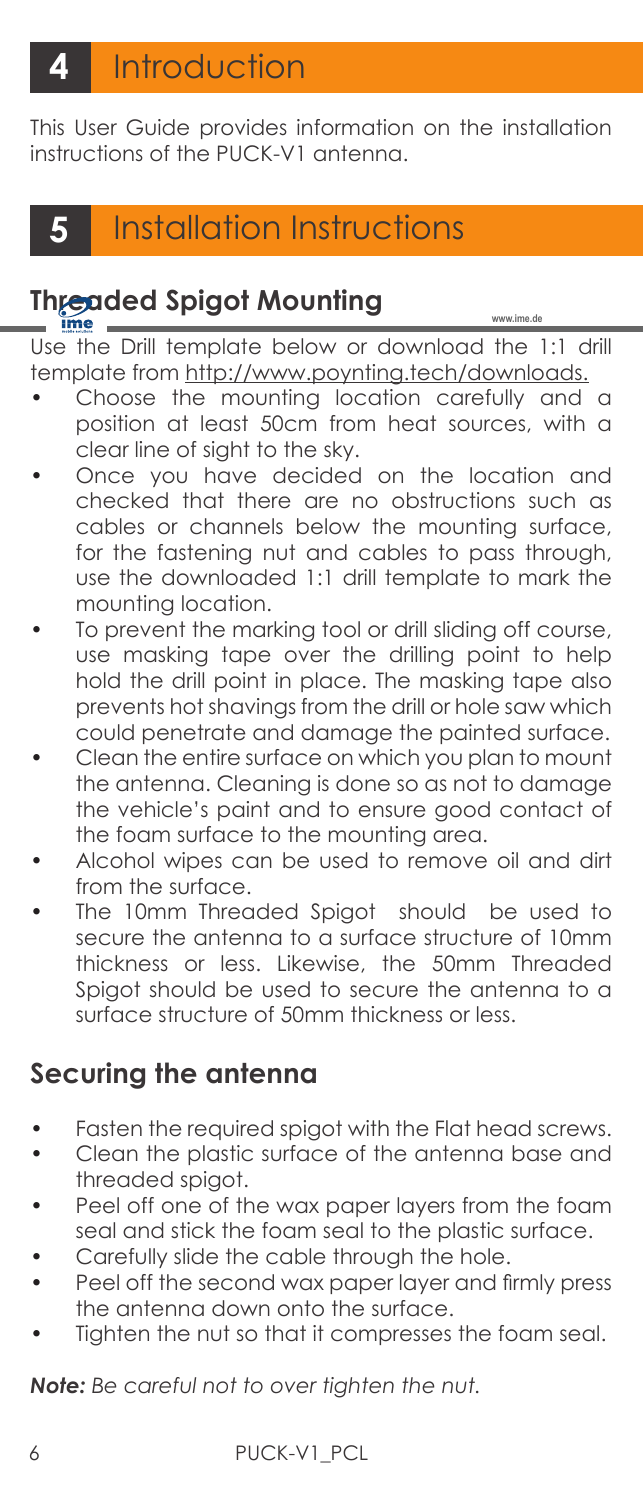This User Guide provides information on the installation instructions of the PUCK-V1 antenna.

# **5** Installation Instructions

# **Threaded Spigot Mounting**

**www.ime.de**

Use the Drill template below or download the 1:1 drill template from http://www.poynting.tech/downloads.

- Choose the mounting location carefully and a position at least 50cm from heat sources, with a clear line of sight to the sky.
- Once you have decided on the location and checked that there are no obstructions such as cables or channels below the mounting surface, for the fastening nut and cables to pass through, use the downloaded 1:1 drill template to mark the mounting location.
- To prevent the marking tool or drill sliding off course, use masking tape over the drilling point to help hold the drill point in place. The masking tape also prevents hot shavings from the drill or hole saw which could penetrate and damage the painted surface.
- Clean the entire surface on which you plan to mount the antenna. Cleaning is done so as not to damage the vehicle's paint and to ensure good contact of the foam surface to the mounting area.
- Alcohol wipes can be used to remove oil and dirt from the surface.
- The 10mm Threaded Spigot should be used to secure the antenna to a surface structure of 10mm thickness or less. Likewise, the 50mm Threaded Spigot should be used to secure the antenna to a surface structure of 50mm thickness or less.

## **Securing the antenna**

- Fasten the required spigot with the Flat head screws.
- Clean the plastic surface of the antenna base and threaded spigot.
- Peel off one of the wax paper layers from the foam seal and stick the foam seal to the plastic surface.
- Carefully slide the cable through the hole.
- Peel off the second wax paper layer and firmly press the antenna down onto the surface.
- Tighten the nut so that it compresses the foam seal.

*Note: Be careful not to over tighten the nut.*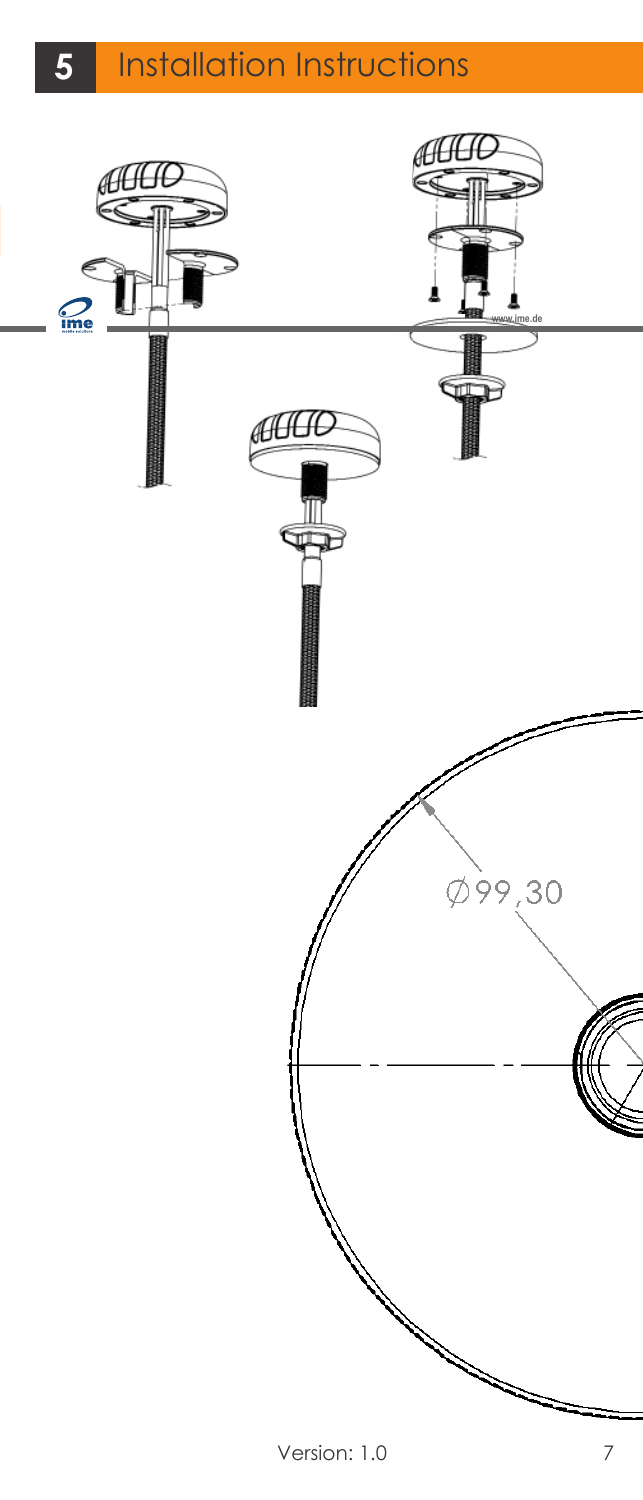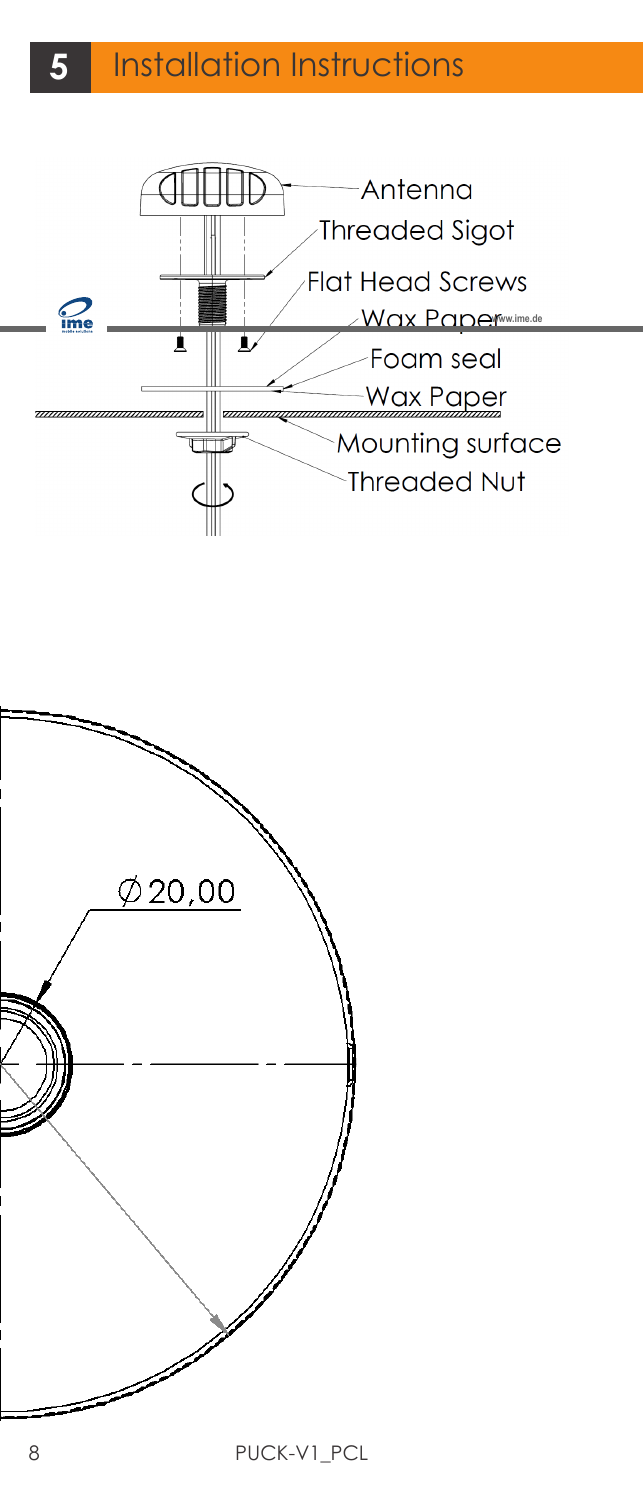

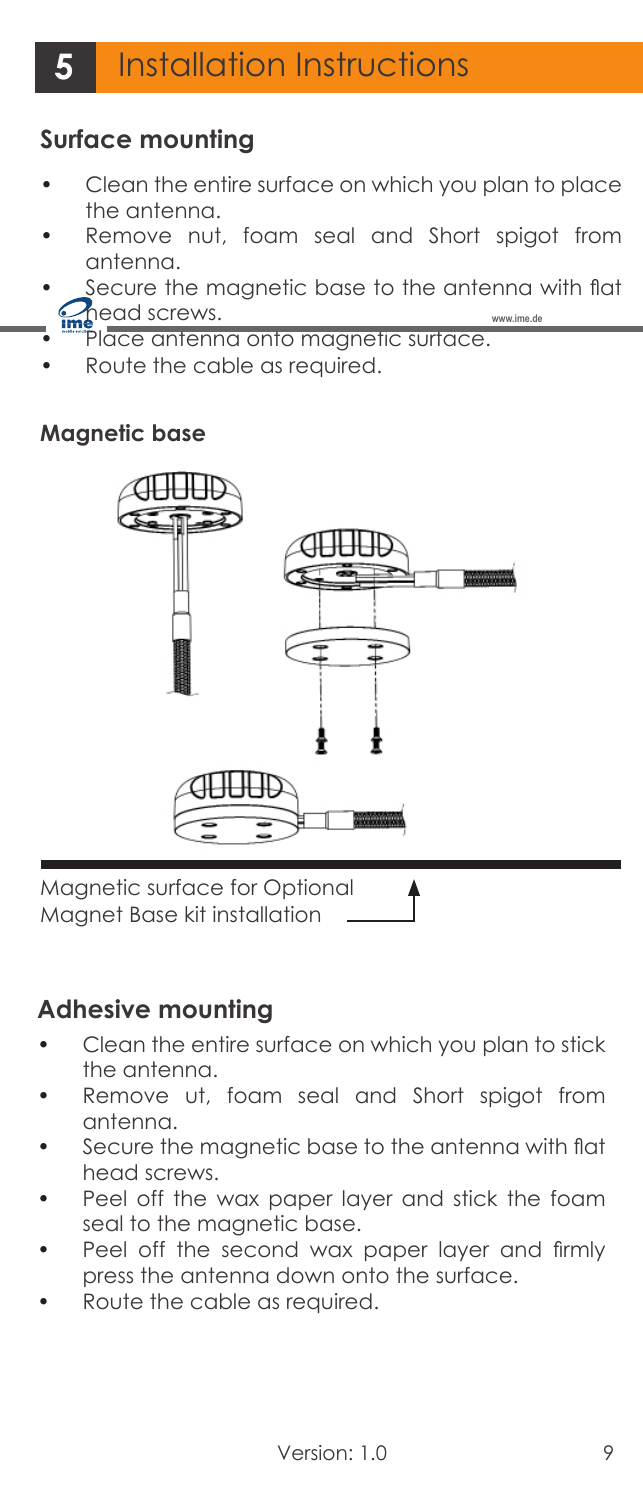#### **Surface mounting**

- Clean the entire surface on which you plan to place the antenna.
- Remove nut, foam seal and Short spigot from antenna.
- Secure the magnetic base to the antenna with flat head screws. **www.ime.de**
- <u>.</u><br>Place antenna onto maanetic surtace.
- Route the cable as required.

#### **Magnetic base**



Magnetic surface for Optional Magnet Base kit installation

### **Adhesive mounting**

- Clean the entire surface on which you plan to stick the antenna.
- Remove ut, foam seal and Short spigot from antenna.
- Secure the magnetic base to the antenna with flat head screws.
- Peel off the wax paper layer and stick the foam seal to the magnetic base.
- Peel off the second wax paper layer and firmly press the antenna down onto the surface.
- Route the cable as required.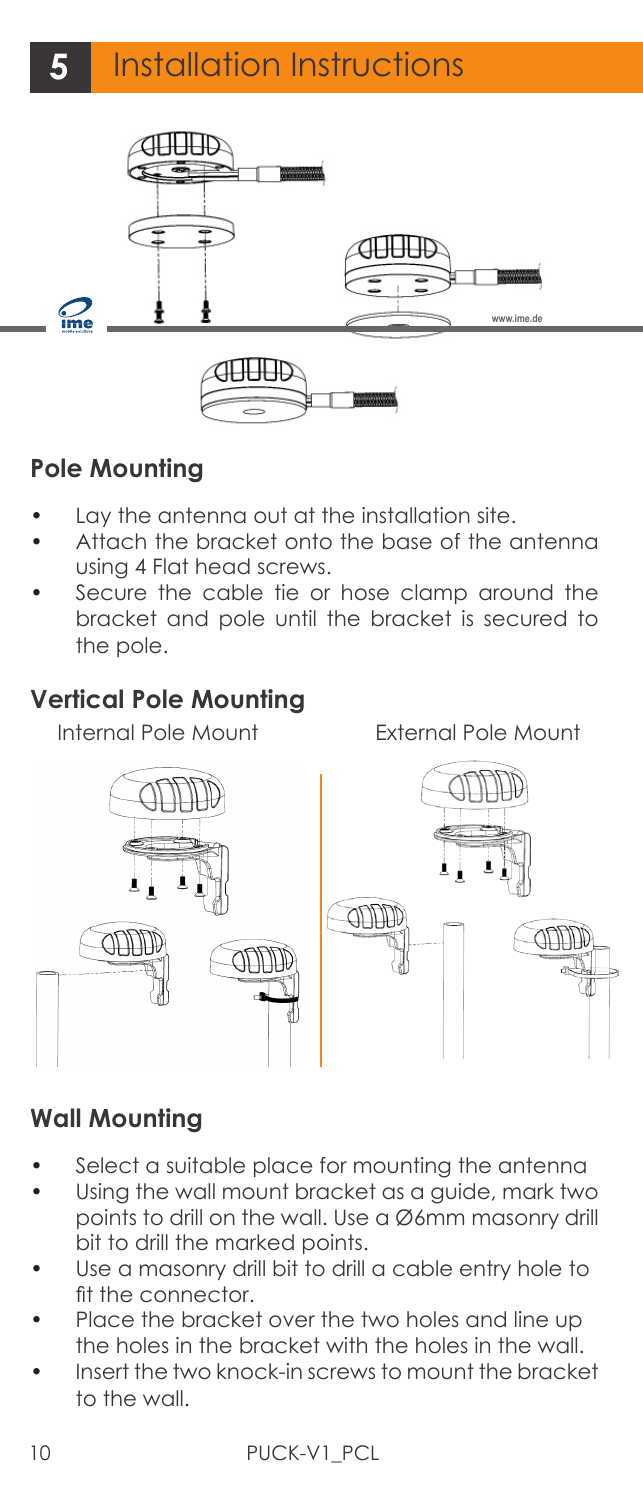

#### **Pole Mounting**

- Lay the antenna out at the installation site.
- Attach the bracket onto the base of the antenna using 4 Flat head screws.
- Secure the cable tie or hose clamp around the bracket and pole until the bracket is secured to the pole.

### **Vertical Pole Mounting**

Internal Pole Mount External Pole Mount



## **Wall Mounting**

- Select a suitable place for mounting the antenna
- Using the wall mount bracket as a guide, mark two points to drill on the wall. Use a Ø6mm masonry drill bit to drill the marked points.
- Use a masonry drill bit to drill a cable entry hole to fit the connector.
- Place the bracket over the two holes and line up the holes in the bracket with the holes in the wall.
- Insert the two knock-in screws to mount the bracket to the wall.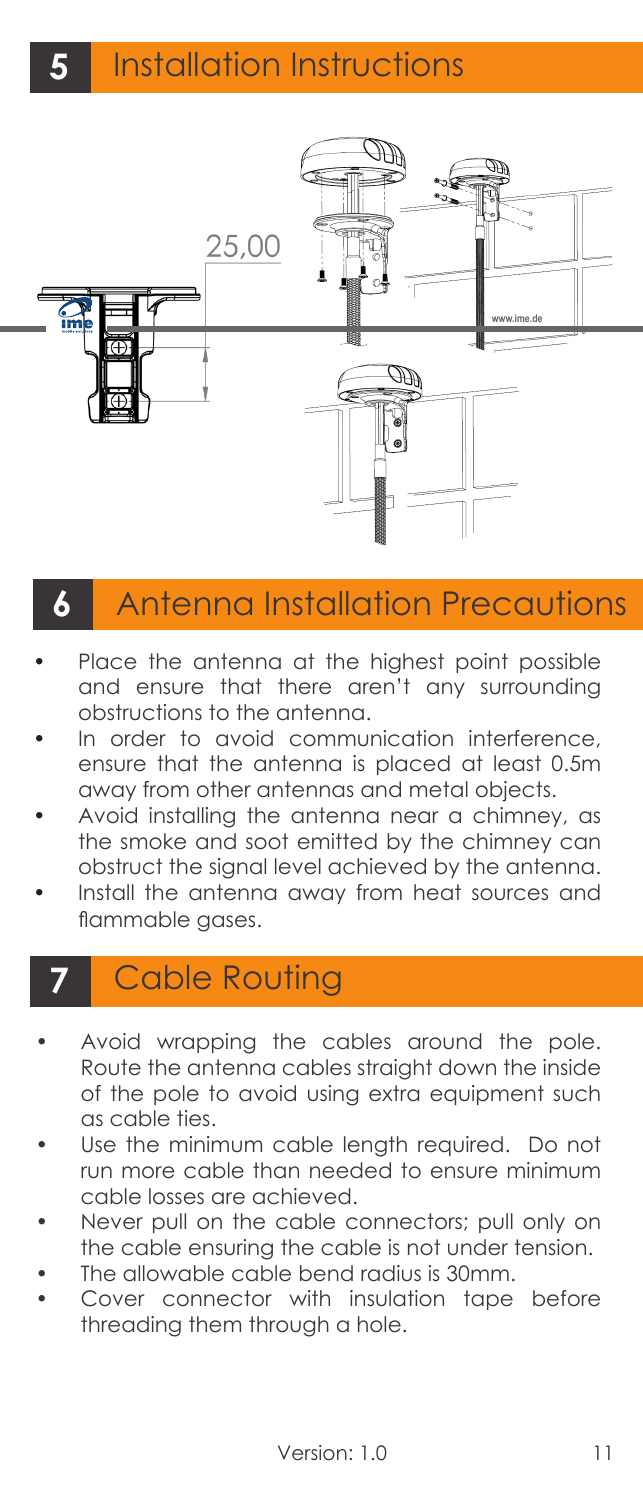

# **6** Antenna Installation Precautions

- Place the antenna at the highest point possible and ensure that there aren't any surrounding obstructions to the antenna.
- In order to avoid communication interference, ensure that the antenna is placed at least 0.5m away from other antennas and metal objects.
- Avoid installing the antenna near a chimney, as the smoke and soot emitted by the chimney can obstruct the signal level achieved by the antenna.
- Install the antenna away from heat sources and flammable gases.

## **7** Cable Routing

- Avoid wrapping the cables around the pole. Route the antenna cables straight down the inside of the pole to avoid using extra equipment such as cable ties.
- Use the minimum cable length required. Do not run more cable than needed to ensure minimum cable losses are achieved.
- Never pull on the cable connectors; pull only on the cable ensuring the cable is not under tension.
- The allowable cable bend radius is 30mm.
- Cover connector with insulation tape before threading them through a hole.